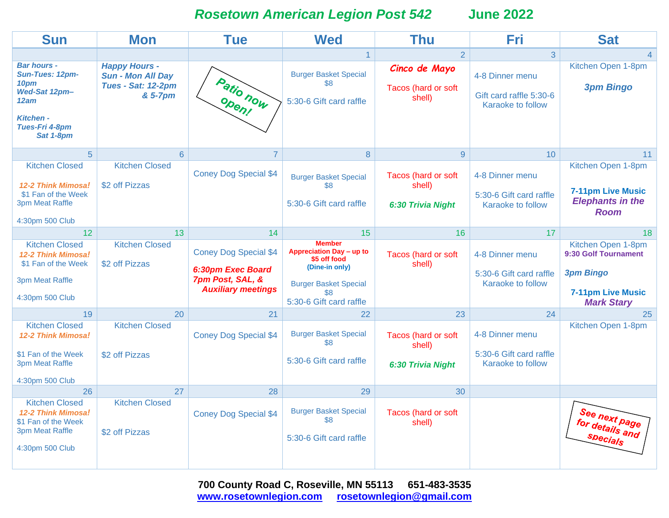*Rosetown American Legion Post 542* **June 2022**

| <b>Sun</b>                                                                                                                       | <b>Mon</b>                                                                        | <b>Tue</b>                                                                                         | <b>Wed</b>                                                                                                                                    | Thu                                                | Fri                                                             | <b>Sat</b>                                                                                                      |
|----------------------------------------------------------------------------------------------------------------------------------|-----------------------------------------------------------------------------------|----------------------------------------------------------------------------------------------------|-----------------------------------------------------------------------------------------------------------------------------------------------|----------------------------------------------------|-----------------------------------------------------------------|-----------------------------------------------------------------------------------------------------------------|
|                                                                                                                                  |                                                                                   |                                                                                                    | $\overline{1}$                                                                                                                                | $\overline{2}$                                     | $\overline{3}$                                                  |                                                                                                                 |
| <b>Bar hours -</b><br><b>Sun-Tues: 12pm-</b><br>10pm<br>Wed-Sat 12pm-<br>12am<br><b>Kitchen -</b><br>Tues-Fri 4-8pm<br>Sat 1-8pm | <b>Happy Hours -</b><br><b>Sun - Mon All Day</b><br>Tues - Sat: 12-2pm<br>& 5-7pm | Patio now<br>Open!                                                                                 | <b>Burger Basket Special</b><br>\$8<br>5:30-6 Gift card raffle                                                                                | Cinco de Mayo<br>Tacos (hard or soft<br>shell)     | 4-8 Dinner menu<br>Gift card raffle 5:30-6<br>Karaoke to follow | Kitchen Open 1-8pm<br><b>3pm Bingo</b>                                                                          |
| $\overline{5}$                                                                                                                   | $6\phantom{a}$                                                                    | $\overline{7}$                                                                                     | 8                                                                                                                                             | $\overline{9}$                                     | 10                                                              | 11                                                                                                              |
| <b>Kitchen Closed</b><br><b>12-2 Think Mimosa!</b><br>\$1 Fan of the Week<br><b>3pm Meat Raffle</b><br>4:30pm 500 Club           | <b>Kitchen Closed</b><br>\$2 off Pizzas                                           | <b>Coney Dog Special \$4</b>                                                                       | <b>Burger Basket Special</b><br>\$8<br>5:30-6 Gift card raffle                                                                                | Tacos (hard or soft<br>shell)<br>6:30 Trivia Night | 4-8 Dinner menu<br>5:30-6 Gift card raffle<br>Karaoke to follow | Kitchen Open 1-8pm<br><b>7-11pm Live Music</b><br><b>Elephants in the</b><br><b>Room</b>                        |
| 12                                                                                                                               | 13                                                                                | 14                                                                                                 | 15                                                                                                                                            | 16                                                 | 17                                                              | 18                                                                                                              |
| <b>Kitchen Closed</b><br>12-2 Think Mimosa!<br>\$1 Fan of the Week<br><b>3pm Meat Raffle</b><br>4:30pm 500 Club                  | <b>Kitchen Closed</b><br>\$2 off Pizzas                                           | <b>Coney Dog Special \$4</b><br>6:30pm Exec Board<br>7pm Post, SAL, &<br><b>Auxiliary meetings</b> | <b>Member</b><br>Appreciation Day - up to<br>\$5 off food<br>(Dine-in only)<br><b>Burger Basket Special</b><br>\$8<br>5:30-6 Gift card raffle | Tacos (hard or soft<br>shell)                      | 4-8 Dinner menu<br>5:30-6 Gift card raffle<br>Karaoke to follow | Kitchen Open 1-8pm<br>9:30 Golf Tournament<br><b>3pm Bingo</b><br><b>7-11pm Live Music</b><br><b>Mark Stary</b> |
| 19                                                                                                                               | 20                                                                                | 21                                                                                                 | 22                                                                                                                                            | 23                                                 | 24                                                              | 25                                                                                                              |
| <b>Kitchen Closed</b><br><b>12-2 Think Mimosa!</b><br>\$1 Fan of the Week<br><b>3pm Meat Raffle</b><br>4:30pm 500 Club           | <b>Kitchen Closed</b><br>\$2 off Pizzas                                           | <b>Coney Dog Special \$4</b>                                                                       | <b>Burger Basket Special</b><br>\$8<br>5:30-6 Gift card raffle                                                                                | Tacos (hard or soft<br>shell)<br>6:30 Trivia Night | 4-8 Dinner menu<br>5:30-6 Gift card raffle<br>Karaoke to follow | Kitchen Open 1-8pm                                                                                              |
| 26                                                                                                                               | 27                                                                                | 28                                                                                                 | 29                                                                                                                                            | 30                                                 |                                                                 |                                                                                                                 |
| <b>Kitchen Closed</b><br><b>12-2 Think Mimosa!</b><br>\$1 Fan of the Week<br><b>3pm Meat Raffle</b><br>4:30pm 500 Club           | <b>Kitchen Closed</b><br>\$2 off Pizzas                                           | <b>Coney Dog Special \$4</b>                                                                       | <b>Burger Basket Special</b><br>\$8<br>5:30-6 Gift card raffle                                                                                | Tacos (hard or soft<br>shell)                      |                                                                 | See next page<br>for details and<br>Specials                                                                    |